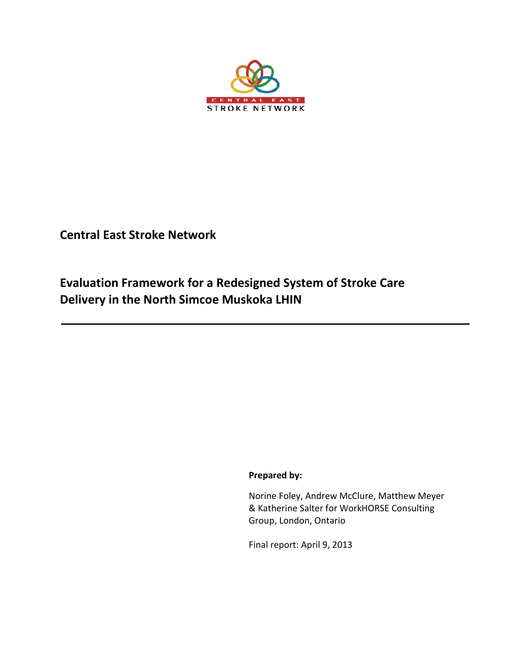

**Central East Stroke Network**

**Evaluation Framework for a Redesigned System of Stroke Care Delivery in the North Simcoe Muskoka LHIN** 

**Prepared by:** 

Norine Foley, Andrew McClure, Matthew Meyer & Katherine Salter for WorkHORSE Consulting Group, London, Ontario

Final report: April 9, 2013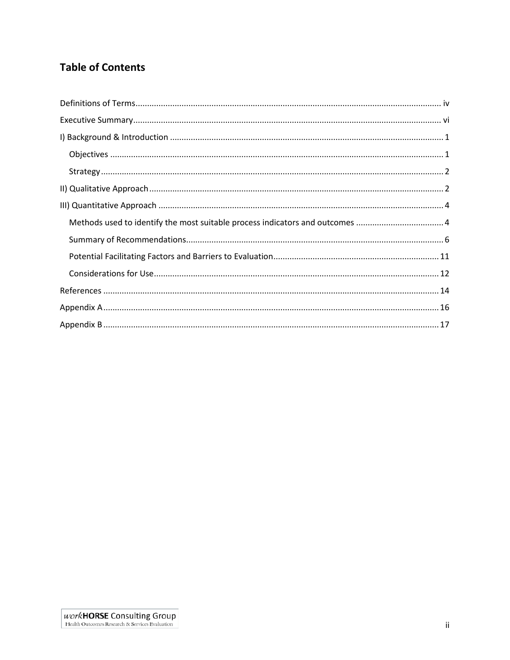# **Table of Contents**

| Methods used to identify the most suitable process indicators and outcomes  4 |
|-------------------------------------------------------------------------------|
|                                                                               |
|                                                                               |
|                                                                               |
|                                                                               |
|                                                                               |
|                                                                               |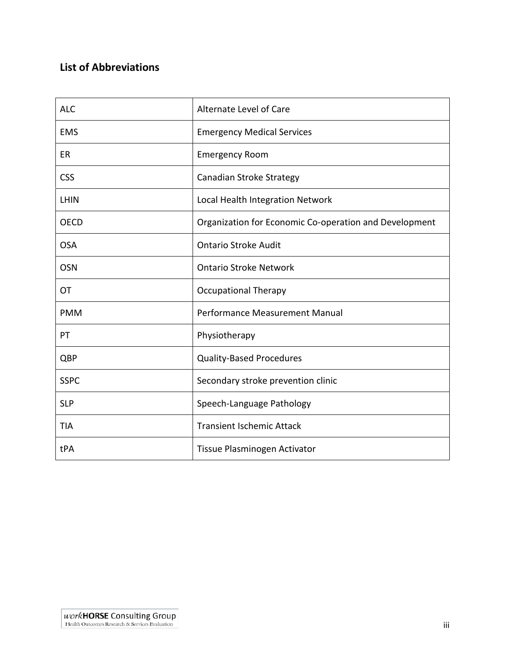# **List of Abbreviations**

| <b>ALC</b>  | Alternate Level of Care                                |
|-------------|--------------------------------------------------------|
| <b>EMS</b>  | <b>Emergency Medical Services</b>                      |
| ER          | <b>Emergency Room</b>                                  |
| <b>CSS</b>  | Canadian Stroke Strategy                               |
| LHIN        | Local Health Integration Network                       |
| <b>OECD</b> | Organization for Economic Co-operation and Development |
| <b>OSA</b>  | <b>Ontario Stroke Audit</b>                            |
| <b>OSN</b>  | <b>Ontario Stroke Network</b>                          |
| OT          | <b>Occupational Therapy</b>                            |
| <b>PMM</b>  | Performance Measurement Manual                         |
| PT          | Physiotherapy                                          |
| QBP         | <b>Quality-Based Procedures</b>                        |
| <b>SSPC</b> | Secondary stroke prevention clinic                     |
| <b>SLP</b>  | Speech-Language Pathology                              |
| <b>TIA</b>  | <b>Transient Ischemic Attack</b>                       |
| tPA         | Tissue Plasminogen Activator                           |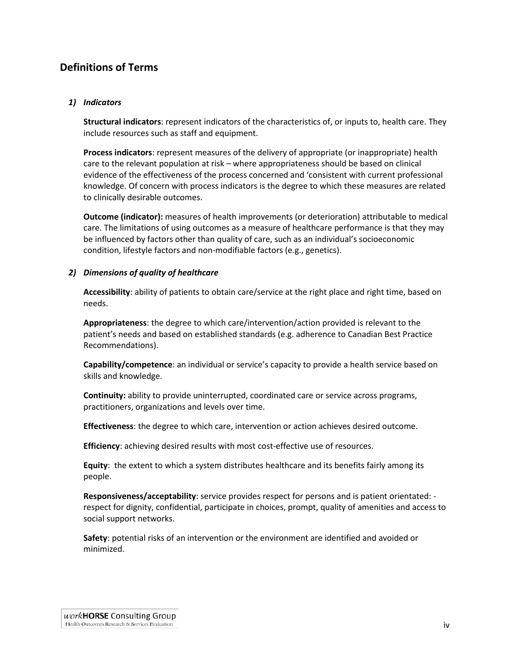# <span id="page-3-0"></span>**Definitions of Terms**

#### *1) Indicators*

**Structural indicators**: represent indicators of the characteristics of, or inputs to, health care. They include resources such as staff and equipment.

**Process indicators**: represent measures of the delivery of appropriate (or inappropriate) health care to the relevant population at risk – where appropriateness should be based on clinical evidence of the effectiveness of the process concerned and 'consistent with current professional knowledge. Of concern with process indicators is the degree to which these measures are related to clinically desirable outcomes.

**Outcome (indicator):** measures of health improvements (or deterioration) attributable to medical care. The limitations of using outcomes as a measure of healthcare performance is that they may be influenced by factors other than quality of care, such as an individual's socioeconomic condition, lifestyle factors and non-modifiable factors (e.g., genetics).

#### *2) Dimensions of quality of healthcare*

**Accessibility**: ability of patients to obtain care/service at the right place and right time, based on needs.

**Appropriateness**: the degree to which care/intervention/action provided is relevant to the patient's needs and based on established standards (e.g. adherence to Canadian Best Practice Recommendations).

**Capability/competence**: an individual or service's capacity to provide a health service based on skills and knowledge.

**Continuity:** ability to provide uninterrupted, coordinated care or service across programs, practitioners, organizations and levels over time.

**Effectiveness**: the degree to which care, intervention or action achieves desired outcome.

**Efficiency**: achieving desired results with most cost-effective use of resources.

**Equity**: the extent to which a system distributes healthcare and its benefits fairly among its people.

**Responsiveness/acceptability**: service provides respect for persons and is patient orientated: respect for dignity, confidential, participate in choices, prompt, quality of amenities and access to social support networks.

**Safety**: potential risks of an intervention or the environment are identified and avoided or minimized.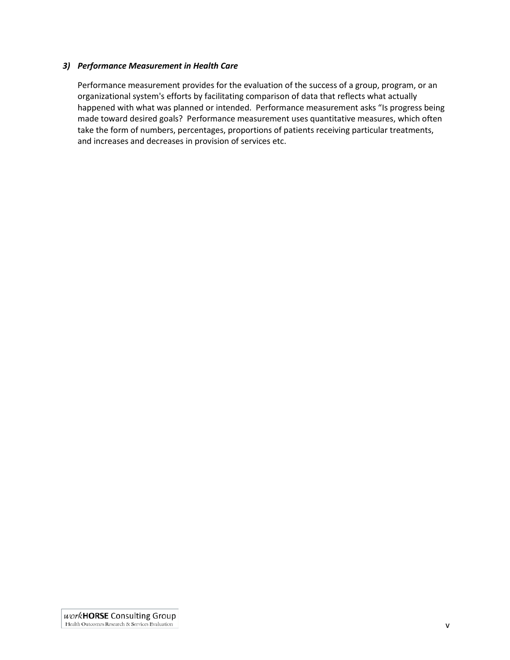#### *3) Performance Measurement in Health Care*

Performance measurement provides for the evaluation of the success of a group, program, or an organizational system's efforts by facilitating comparison of data that reflects what actually happened with what was planned or intended. Performance measurement asks "Is progress being made toward desired goals? Performance measurement uses quantitative measures, which often take the form of numbers, percentages, proportions of patients receiving particular treatments, and increases and decreases in provision of services etc.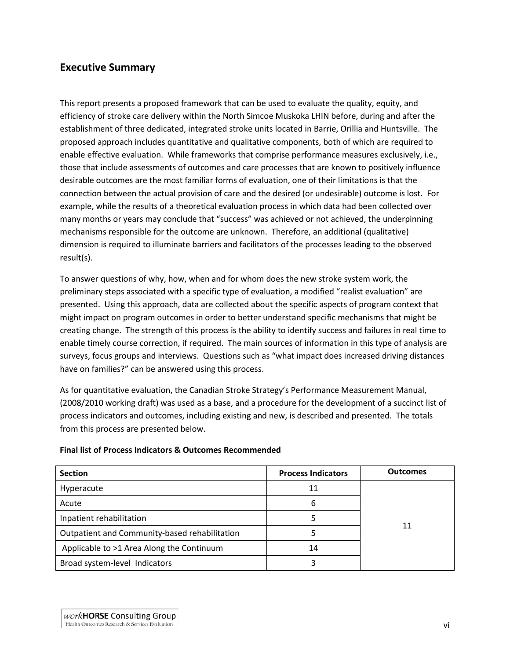## <span id="page-5-0"></span>**Executive Summary**

This report presents a proposed framework that can be used to evaluate the quality, equity, and efficiency of stroke care delivery within the North Simcoe Muskoka LHIN before, during and after the establishment of three dedicated, integrated stroke units located in Barrie, Orillia and Huntsville. The proposed approach includes quantitative and qualitative components, both of which are required to enable effective evaluation. While frameworks that comprise performance measures exclusively, i.e., those that include assessments of outcomes and care processes that are known to positively influence desirable outcomes are the most familiar forms of evaluation, one of their limitations is that the connection between the actual provision of care and the desired (or undesirable) outcome is lost. For example, while the results of a theoretical evaluation process in which data had been collected over many months or years may conclude that "success" was achieved or not achieved, the underpinning mechanisms responsible for the outcome are unknown. Therefore, an additional (qualitative) dimension is required to illuminate barriers and facilitators of the processes leading to the observed result(s).

To answer questions of why, how, when and for whom does the new stroke system work, the preliminary steps associated with a specific type of evaluation, a modified "realist evaluation" are presented. Using this approach, data are collected about the specific aspects of program context that might impact on program outcomes in order to better understand specific mechanisms that might be creating change. The strength of this process is the ability to identify success and failures in real time to enable timely course correction, if required. The main sources of information in this type of analysis are surveys, focus groups and interviews. Questions such as "what impact does increased driving distances have on families?" can be answered using this process.

As for quantitative evaluation, the Canadian Stroke Strategy's Performance Measurement Manual, (2008/2010 working draft) was used as a base, and a procedure for the development of a succinct list of process indicators and outcomes, including existing and new, is described and presented. The totals from this process are presented below.

**Final list of Process Indicators & Outcomes Recommended**

| <b>Section</b>                                | <b>Process Indicators</b> | <b>Outcomes</b> |
|-----------------------------------------------|---------------------------|-----------------|
| Hyperacute                                    | 11                        |                 |
| Acute                                         | 6                         |                 |
| Inpatient rehabilitation                      |                           | 11              |
| Outpatient and Community-based rehabilitation |                           |                 |
| Applicable to >1 Area Along the Continuum     | 14                        |                 |
| Broad system-level Indicators                 |                           |                 |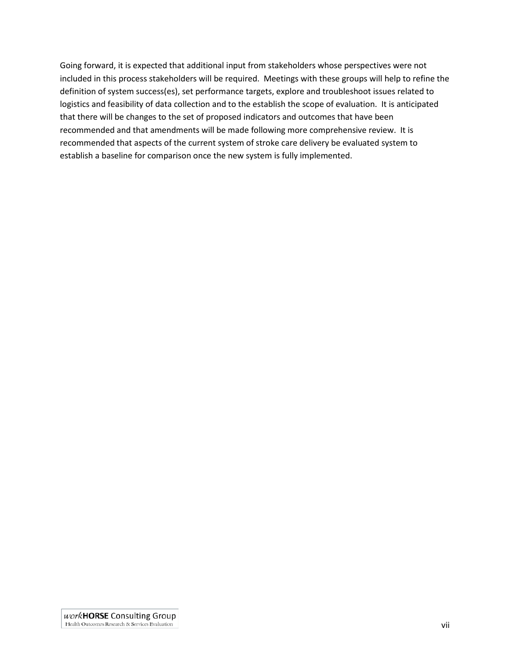Going forward, it is expected that additional input from stakeholders whose perspectives were not included in this process stakeholders will be required. Meetings with these groups will help to refine the definition of system success(es), set performance targets, explore and troubleshoot issues related to logistics and feasibility of data collection and to the establish the scope of evaluation. It is anticipated that there will be changes to the set of proposed indicators and outcomes that have been recommended and that amendments will be made following more comprehensive review. It is recommended that aspects of the current system of stroke care delivery be evaluated system to establish a baseline for comparison once the new system is fully implemented.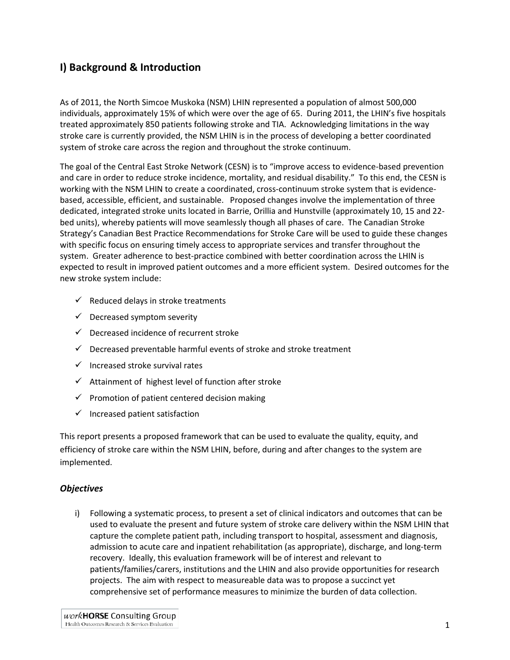# **I) Background & Introduction**

As of 2011, the North Simcoe Muskoka (NSM) LHIN represented a population of almost 500,000 individuals, approximately 15% of which were over the age of 65. During 2011, the LHIN's five hospitals treated approximately 850 patients following stroke and TIA. Acknowledging limitations in the way stroke care is currently provided, the NSM LHIN is in the process of developing a better coordinated system of stroke care across the region and throughout the stroke continuum.

The goal of the Central East Stroke Network (CESN) is to "improve access to evidence-based prevention and care in order to reduce stroke incidence, mortality, and residual disability." To this end, the CESN is working with the NSM LHIN to create a coordinated, cross-continuum stroke system that is evidencebased, accessible, efficient, and sustainable. Proposed changes involve the implementation of three dedicated, integrated stroke units located in Barrie, Orillia and Hunstville (approximately 10, 15 and 22 bed units), whereby patients will move seamlessly though all phases of care. The Canadian Stroke Strategy's Canadian Best Practice Recommendations for Stroke Care will be used to guide these changes with specific focus on ensuring timely access to appropriate services and transfer throughout the system. Greater adherence to best-practice combined with better coordination across the LHIN is expected to result in improved patient outcomes and a more efficient system. Desired outcomes for the new stroke system include:

- $\checkmark$  Reduced delays in stroke treatments
- $\checkmark$  Decreased symptom severity
- $\checkmark$  Decreased incidence of recurrent stroke
- $\checkmark$  Decreased preventable harmful events of stroke and stroke treatment
- $\checkmark$  Increased stroke survival rates
- $\checkmark$  Attainment of highest level of function after stroke
- $\checkmark$  Promotion of patient centered decision making
- $\checkmark$  Increased patient satisfaction

This report presents a proposed framework that can be used to evaluate the quality, equity, and efficiency of stroke care within the NSM LHIN, before, during and after changes to the system are implemented.

#### <span id="page-7-0"></span>*Objectives*

i) Following a systematic process, to present a set of clinical indicators and outcomes that can be used to evaluate the present and future system of stroke care delivery within the NSM LHIN that capture the complete patient path, including transport to hospital, assessment and diagnosis, admission to acute care and inpatient rehabilitation (as appropriate), discharge, and long-term recovery. Ideally, this evaluation framework will be of interest and relevant to patients/families/carers, institutions and the LHIN and also provide opportunities for research projects. The aim with respect to measureable data was to propose a succinct yet comprehensive set of performance measures to minimize the burden of data collection.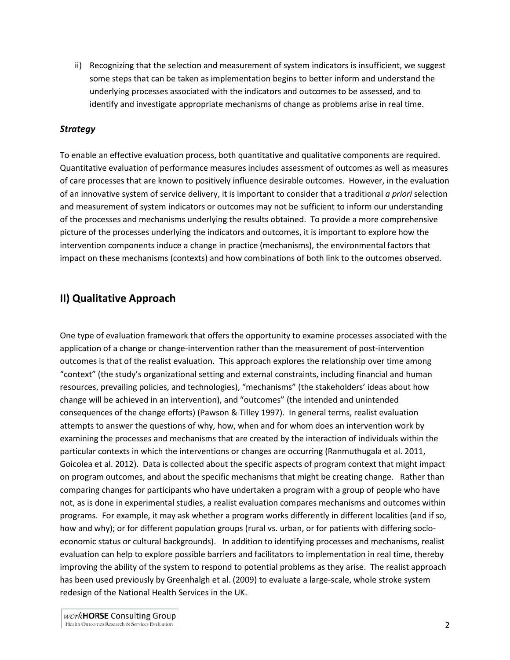<span id="page-8-0"></span>ii) Recognizing that the selection and measurement of system indicators is insufficient, we suggest some steps that can be taken as implementation begins to better inform and understand the underlying processes associated with the indicators and outcomes to be assessed, and to identify and investigate appropriate mechanisms of change as problems arise in real time.

#### *Strategy*

To enable an effective evaluation process, both quantitative and qualitative components are required. Quantitative evaluation of performance measures includes assessment of outcomes as well as measures of care processes that are known to positively influence desirable outcomes. However, in the evaluation of an innovative system of service delivery, it is important to consider that a traditional *a priori* selection and measurement of system indicators or outcomes may not be sufficient to inform our understanding of the processes and mechanisms underlying the results obtained. To provide a more comprehensive picture of the processes underlying the indicators and outcomes, it is important to explore how the intervention components induce a change in practice (mechanisms), the environmental factors that impact on these mechanisms (contexts) and how combinations of both link to the outcomes observed.

## <span id="page-8-1"></span>**II) Qualitative Approach**

One type of evaluation framework that offers the opportunity to examine processes associated with the application of a change or change-intervention rather than the measurement of post-intervention outcomes is that of the realist evaluation. This approach explores the relationship over time among "context" (the study's organizational setting and external constraints, including financial and human resources, prevailing policies, and technologies), "mechanisms" (the stakeholders' ideas about how change will be achieved in an intervention), and "outcomes" (the intended and unintended consequences of the change efforts) (Pawson & Tilley 1997). In general terms, realist evaluation attempts to answer the questions of why, how, when and for whom does an intervention work by examining the processes and mechanisms that are created by the interaction of individuals within the particular contexts in which the interventions or changes are occurring (Ranmuthugala et al. 2011, Goicolea et al. 2012). Data is collected about the specific aspects of program context that might impact on program outcomes, and about the specific mechanisms that might be creating change. Rather than comparing changes for participants who have undertaken a program with a group of people who have not, as is done in experimental studies, a realist evaluation compares mechanisms and outcomes within programs. For example, it may ask whether a program works differently in different localities (and if so, how and why); or for different population groups (rural vs. urban, or for patients with differing socioeconomic status or cultural backgrounds). In addition to identifying processes and mechanisms, realist evaluation can help to explore possible barriers and facilitators to implementation in real time, thereby improving the ability of the system to respond to potential problems as they arise. The realist approach has been used previously by Greenhalgh et al. (2009) to evaluate a large-scale, whole stroke system redesign of the National Health Services in the UK.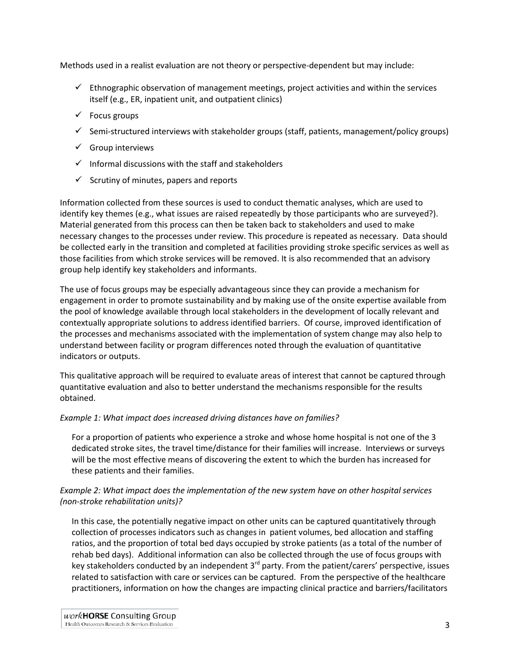Methods used in a realist evaluation are not theory or perspective-dependent but may include:

- $\checkmark$  Ethnographic observation of management meetings, project activities and within the services itself (e.g., ER, inpatient unit, and outpatient clinics)
- $\checkmark$  Focus groups
- $\checkmark$  Semi-structured interviews with stakeholder groups (staff, patients, management/policy groups)
- $\checkmark$  Group interviews
- $\checkmark$  Informal discussions with the staff and stakeholders
- $\checkmark$  Scrutiny of minutes, papers and reports

Information collected from these sources is used to conduct thematic analyses, which are used to identify key themes (e.g., what issues are raised repeatedly by those participants who are surveyed?). Material generated from this process can then be taken back to stakeholders and used to make necessary changes to the processes under review. This procedure is repeated as necessary. Data should be collected early in the transition and completed at facilities providing stroke specific services as well as those facilities from which stroke services will be removed. It is also recommended that an advisory group help identify key stakeholders and informants.

The use of focus groups may be especially advantageous since they can provide a mechanism for engagement in order to promote sustainability and by making use of the onsite expertise available from the pool of knowledge available through local stakeholders in the development of locally relevant and contextually appropriate solutions to address identified barriers. Of course, improved identification of the processes and mechanisms associated with the implementation of system change may also help to understand between facility or program differences noted through the evaluation of quantitative indicators or outputs.

This qualitative approach will be required to evaluate areas of interest that cannot be captured through quantitative evaluation and also to better understand the mechanisms responsible for the results obtained.

#### *Example 1: What impact does increased driving distances have on families?*

For a proportion of patients who experience a stroke and whose home hospital is not one of the 3 dedicated stroke sites, the travel time/distance for their families will increase. Interviews or surveys will be the most effective means of discovering the extent to which the burden has increased for these patients and their families.

#### *Example 2: What impact does the implementation of the new system have on other hospital services (non-stroke rehabilitation units)?*

In this case, the potentially negative impact on other units can be captured quantitatively through collection of processes indicators such as changes in patient volumes, bed allocation and staffing ratios, and the proportion of total bed days occupied by stroke patients (as a total of the number of rehab bed days). Additional information can also be collected through the use of focus groups with key stakeholders conducted by an independent 3<sup>rd</sup> party. From the patient/carers' perspective, issues related to satisfaction with care or services can be captured. From the perspective of the healthcare practitioners, information on how the changes are impacting clinical practice and barriers/facilitators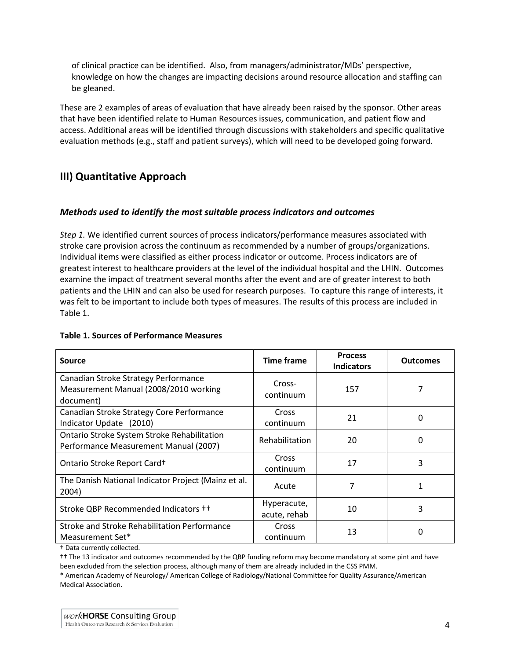of clinical practice can be identified. Also, from managers/administrator/MDs' perspective, knowledge on how the changes are impacting decisions around resource allocation and staffing can be gleaned.

These are 2 examples of areas of evaluation that have already been raised by the sponsor. Other areas that have been identified relate to Human Resources issues, communication, and patient flow and access. Additional areas will be identified through discussions with stakeholders and specific qualitative evaluation methods (e.g., staff and patient surveys), which will need to be developed going forward.

# <span id="page-10-1"></span><span id="page-10-0"></span>**III) Quantitative Approach**

#### *Methods used to identify the most suitable process indicators and outcomes*

*Step 1.* We identified current sources of process indicators/performance measures associated with stroke care provision across the continuum as recommended by a number of groups/organizations. Individual items were classified as either process indicator or outcome. Process indicators are of greatest interest to healthcare providers at the level of the individual hospital and the LHIN. Outcomes examine the impact of treatment several months after the event and are of greater interest to both patients and the LHIN and can also be used for research purposes. To capture this range of interests, it was felt to be important to include both types of measures. The results of this process are included in Table 1.

| Source                                                                                     | <b>Time frame</b>           | <b>Process</b><br><b>Indicators</b> | <b>Outcomes</b> |  |  |  |
|--------------------------------------------------------------------------------------------|-----------------------------|-------------------------------------|-----------------|--|--|--|
| Canadian Stroke Strategy Performance<br>Measurement Manual (2008/2010 working<br>document) | Cross-<br>continuum         | 157                                 |                 |  |  |  |
| Canadian Stroke Strategy Core Performance<br>Indicator Update (2010)                       | Cross<br>continuum          | 21                                  | 0               |  |  |  |
| Ontario Stroke System Stroke Rehabilitation<br>Performance Measurement Manual (2007)       | Rehabilitation              | 20                                  | 0               |  |  |  |
| Ontario Stroke Report Card+                                                                | Cross<br>continuum          | 17                                  | 3               |  |  |  |
| The Danish National Indicator Project (Mainz et al.<br>2004)                               | Acute                       | 7                                   | 1               |  |  |  |
| Stroke QBP Recommended Indicators ++                                                       | Hyperacute,<br>acute, rehab | 10                                  | 3               |  |  |  |
| Stroke and Stroke Rehabilitation Performance<br>Measurement Set*                           | Cross<br>continuum          | 13                                  |                 |  |  |  |

#### **Table 1. Sources of Performance Measures**

† Data currently collected.

†† The 13 indicator and outcomes recommended by the QBP funding reform may become mandatory at some pint and have been excluded from the selection process, although many of them are already included in the CSS PMM.

\* American Academy of Neurology/ American College of Radiology/National Committee for Quality Assurance/American Medical Association.

work**HORSE** Consulting Group Health Outcomes Research & Services Evaluation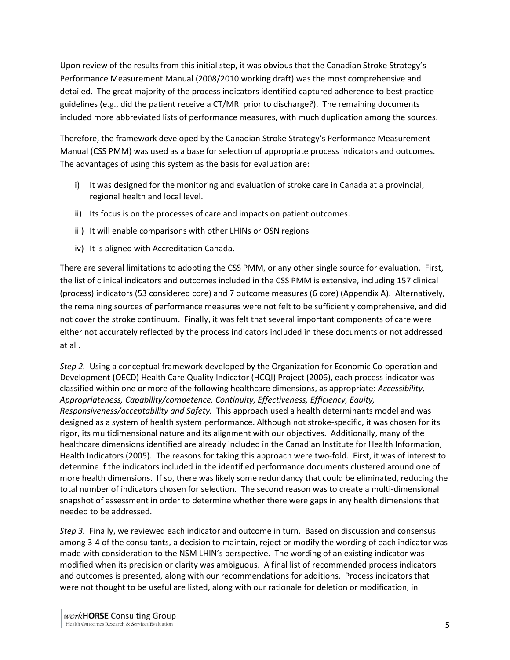Upon review of the results from this initial step, it was obvious that the Canadian Stroke Strategy's Performance Measurement Manual (2008/2010 working draft) was the most comprehensive and detailed. The great majority of the process indicators identified captured adherence to best practice guidelines (e.g., did the patient receive a CT/MRI prior to discharge?). The remaining documents included more abbreviated lists of performance measures, with much duplication among the sources.

Therefore, the framework developed by the Canadian Stroke Strategy's Performance Measurement Manual (CSS PMM) was used as a base for selection of appropriate process indicators and outcomes. The advantages of using this system as the basis for evaluation are:

- i) It was designed for the monitoring and evaluation of stroke care in Canada at a provincial, regional health and local level.
- ii) Its focus is on the processes of care and impacts on patient outcomes.
- iii) It will enable comparisons with other LHINs or OSN regions
- iv) It is aligned with Accreditation Canada.

There are several limitations to adopting the CSS PMM, or any other single source for evaluation. First, the list of clinical indicators and outcomes included in the CSS PMM is extensive, including 157 clinical (process) indicators (53 considered core) and 7 outcome measures (6 core) (Appendix A). Alternatively, the remaining sources of performance measures were not felt to be sufficiently comprehensive, and did not cover the stroke continuum. Finally, it was felt that several important components of care were either not accurately reflected by the process indicators included in these documents or not addressed at all.

*Step 2.* Using a conceptual framework developed by the Organization for Economic Co-operation and Development (OECD) Health Care Quality Indicator (HCQI) Project (2006), each process indicator was classified within one or more of the following healthcare dimensions, as appropriate: *Accessibility, Appropriateness, Capability/competence, Continuity, Effectiveness, Efficiency, Equity, Responsiveness/acceptability and Safety.* This approach used a health determinants model and was designed as a system of health system performance. Although not stroke-specific, it was chosen for its rigor, its multidimensional nature and its alignment with our objectives. Additionally, many of the healthcare dimensions identified are already included in the Canadian Institute for Health Information, Health Indicators (2005). The reasons for taking this approach were two-fold. First, it was of interest to determine if the indicators included in the identified performance documents clustered around one of more health dimensions. If so, there was likely some redundancy that could be eliminated, reducing the total number of indicators chosen for selection. The second reason was to create a multi-dimensional snapshot of assessment in order to determine whether there were gaps in any health dimensions that needed to be addressed.

*Step 3.* Finally, we reviewed each indicator and outcome in turn. Based on discussion and consensus among 3-4 of the consultants, a decision to maintain, reject or modify the wording of each indicator was made with consideration to the NSM LHIN's perspective. The wording of an existing indicator was modified when its precision or clarity was ambiguous. A final list of recommended process indicators and outcomes is presented, along with our recommendations for additions. Process indicators that were not thought to be useful are listed, along with our rationale for deletion or modification, in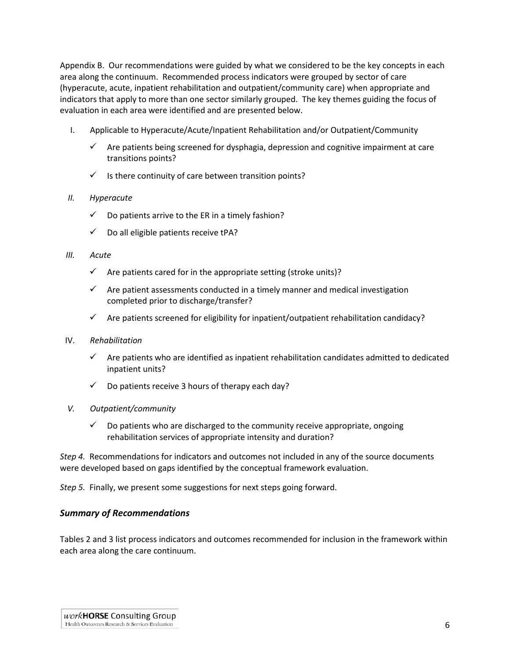Appendix B. Our recommendations were guided by what we considered to be the key concepts in each area along the continuum. Recommended process indicators were grouped by sector of care (hyperacute, acute, inpatient rehabilitation and outpatient/community care) when appropriate and indicators that apply to more than one sector similarly grouped. The key themes guiding the focus of evaluation in each area were identified and are presented below.

- I. Applicable to Hyperacute/Acute/Inpatient Rehabilitation and/or Outpatient/Community
	- $\checkmark$  Are patients being screened for dysphagia, depression and cognitive impairment at care transitions points?
	- $\checkmark$  Is there continuity of care between transition points?

#### *II. Hyperacute*

- $\checkmark$  Do patients arrive to the ER in a timely fashion?
- $\checkmark$  Do all eligible patients receive tPA?

#### *III. Acute*

- $\checkmark$  Are patients cared for in the appropriate setting (stroke units)?
- $\checkmark$  Are patient assessments conducted in a timely manner and medical investigation completed prior to discharge/transfer?
- $\checkmark$  Are patients screened for eligibility for inpatient/outpatient rehabilitation candidacy?

#### IV. *Rehabilitation*

- $\checkmark$  Are patients who are identified as inpatient rehabilitation candidates admitted to dedicated inpatient units?
- $\checkmark$  Do patients receive 3 hours of therapy each day?
- *V. Outpatient/community*
	- $\checkmark$  Do patients who are discharged to the community receive appropriate, ongoing rehabilitation services of appropriate intensity and duration?

*Step 4.* Recommendations for indicators and outcomes not included in any of the source documents were developed based on gaps identified by the conceptual framework evaluation.

<span id="page-12-0"></span>*Step 5.* Finally, we present some suggestions for next steps going forward.

#### *Summary of Recommendations*

Tables 2 and 3 list process indicators and outcomes recommended for inclusion in the framework within each area along the care continuum.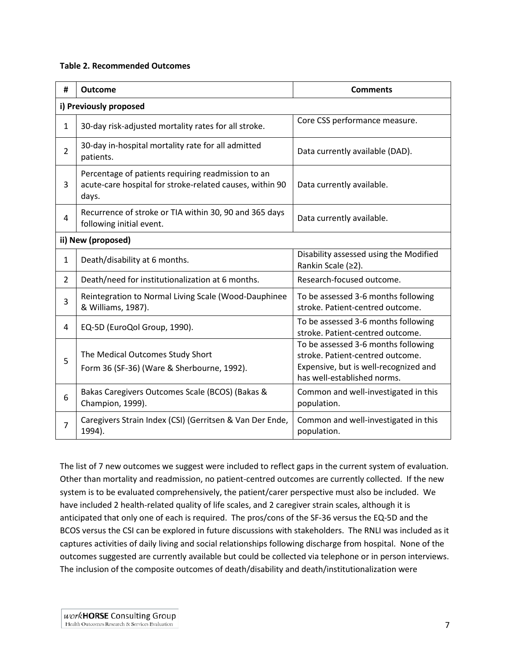#### **Table 2. Recommended Outcomes**

| #              | <b>Outcome</b>                                                                                                          | <b>Comments</b>                                                                                                                                 |  |  |
|----------------|-------------------------------------------------------------------------------------------------------------------------|-------------------------------------------------------------------------------------------------------------------------------------------------|--|--|
|                | i) Previously proposed                                                                                                  |                                                                                                                                                 |  |  |
| $\mathbf{1}$   | 30-day risk-adjusted mortality rates for all stroke.                                                                    | Core CSS performance measure.                                                                                                                   |  |  |
| $\overline{2}$ | 30-day in-hospital mortality rate for all admitted<br>patients.                                                         | Data currently available (DAD).                                                                                                                 |  |  |
| 3              | Percentage of patients requiring readmission to an<br>acute-care hospital for stroke-related causes, within 90<br>days. | Data currently available.                                                                                                                       |  |  |
| $\overline{4}$ | Recurrence of stroke or TIA within 30, 90 and 365 days<br>following initial event.                                      | Data currently available.                                                                                                                       |  |  |
|                | ii) New (proposed)                                                                                                      |                                                                                                                                                 |  |  |
| $\mathbf{1}$   | Death/disability at 6 months.                                                                                           | Disability assessed using the Modified<br>Rankin Scale (≥2).                                                                                    |  |  |
| $\overline{2}$ | Death/need for institutionalization at 6 months.                                                                        | Research-focused outcome.                                                                                                                       |  |  |
| 3              | Reintegration to Normal Living Scale (Wood-Dauphinee<br>& Williams, 1987).                                              | To be assessed 3-6 months following<br>stroke. Patient-centred outcome.                                                                         |  |  |
| 4              | EQ-5D (EuroQol Group, 1990).                                                                                            | To be assessed 3-6 months following<br>stroke. Patient-centred outcome.                                                                         |  |  |
| 5              | The Medical Outcomes Study Short<br>Form 36 (SF-36) (Ware & Sherbourne, 1992).                                          | To be assessed 3-6 months following<br>stroke. Patient-centred outcome.<br>Expensive, but is well-recognized and<br>has well-established norms. |  |  |
| 6              | Bakas Caregivers Outcomes Scale (BCOS) (Bakas &<br>Champion, 1999).                                                     | Common and well-investigated in this<br>population.                                                                                             |  |  |
| 7              | Caregivers Strain Index (CSI) (Gerritsen & Van Der Ende,<br>1994).                                                      | Common and well-investigated in this<br>population.                                                                                             |  |  |

The list of 7 new outcomes we suggest were included to reflect gaps in the current system of evaluation. Other than mortality and readmission, no patient-centred outcomes are currently collected. If the new system is to be evaluated comprehensively, the patient/carer perspective must also be included. We have included 2 health-related quality of life scales, and 2 caregiver strain scales, although it is anticipated that only one of each is required. The pros/cons of the SF-36 versus the EQ-5D and the BCOS versus the CSI can be explored in future discussions with stakeholders. The RNLI was included as it captures activities of daily living and social relationships following discharge from hospital. None of the outcomes suggested are currently available but could be collected via telephone or in person interviews. The inclusion of the composite outcomes of death/disability and death/institutionalization were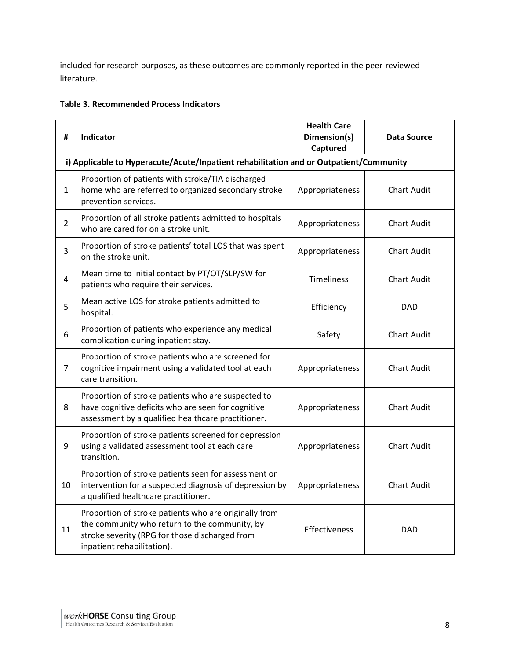included for research purposes, as these outcomes are commonly reported in the peer-reviewed literature.

|  | <b>Table 3. Recommended Process Indicators</b> |  |  |
|--|------------------------------------------------|--|--|
|--|------------------------------------------------|--|--|

| #              | Indicator                                                                                                                                                                              | <b>Health Care</b><br>Dimension(s)<br>Captured | Data Source        |
|----------------|----------------------------------------------------------------------------------------------------------------------------------------------------------------------------------------|------------------------------------------------|--------------------|
|                | i) Applicable to Hyperacute/Acute/Inpatient rehabilitation and or Outpatient/Community                                                                                                 |                                                |                    |
| $\mathbf{1}$   | Proportion of patients with stroke/TIA discharged<br>home who are referred to organized secondary stroke<br>prevention services.                                                       | Appropriateness                                | <b>Chart Audit</b> |
| $\overline{2}$ | Proportion of all stroke patients admitted to hospitals<br>who are cared for on a stroke unit.                                                                                         | Appropriateness                                | <b>Chart Audit</b> |
| 3              | Proportion of stroke patients' total LOS that was spent<br>on the stroke unit.                                                                                                         | Appropriateness                                | <b>Chart Audit</b> |
| 4              | Mean time to initial contact by PT/OT/SLP/SW for<br>patients who require their services.                                                                                               | <b>Timeliness</b>                              | <b>Chart Audit</b> |
| 5              | Mean active LOS for stroke patients admitted to<br>hospital.                                                                                                                           | Efficiency                                     | <b>DAD</b>         |
| 6              | Proportion of patients who experience any medical<br>complication during inpatient stay.                                                                                               | Safety                                         | <b>Chart Audit</b> |
| 7              | Proportion of stroke patients who are screened for<br>cognitive impairment using a validated tool at each<br>care transition.                                                          | Appropriateness                                | <b>Chart Audit</b> |
| 8              | Proportion of stroke patients who are suspected to<br>have cognitive deficits who are seen for cognitive<br>assessment by a qualified healthcare practitioner.                         | Appropriateness                                | <b>Chart Audit</b> |
| 9              | Proportion of stroke patients screened for depression<br>using a validated assessment tool at each care<br>transition.                                                                 | Appropriateness                                | <b>Chart Audit</b> |
| 10             | Proportion of stroke patients seen for assessment or<br>intervention for a suspected diagnosis of depression by<br>a qualified healthcare practitioner.                                | Appropriateness                                | <b>Chart Audit</b> |
| 11             | Proportion of stroke patients who are originally from<br>the community who return to the community, by<br>stroke severity (RPG for those discharged from<br>inpatient rehabilitation). | Effectiveness                                  | <b>DAD</b>         |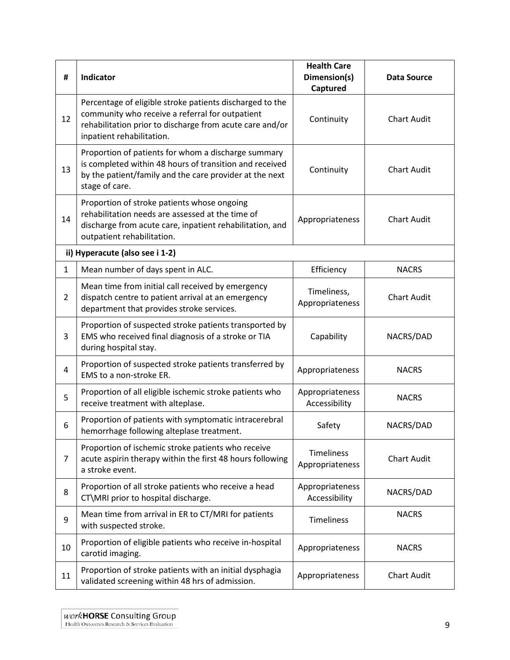| #              | Indicator                                                                                                                                                                                            | <b>Health Care</b><br>Dimension(s)<br>Captured | Data Source        |  |
|----------------|------------------------------------------------------------------------------------------------------------------------------------------------------------------------------------------------------|------------------------------------------------|--------------------|--|
| 12             | Percentage of eligible stroke patients discharged to the<br>community who receive a referral for outpatient<br>rehabilitation prior to discharge from acute care and/or<br>inpatient rehabilitation. | Continuity                                     | <b>Chart Audit</b> |  |
| 13             | Proportion of patients for whom a discharge summary<br>is completed within 48 hours of transition and received<br>by the patient/family and the care provider at the next<br>stage of care.          | Continuity                                     | <b>Chart Audit</b> |  |
| 14             | Proportion of stroke patients whose ongoing<br>rehabilitation needs are assessed at the time of<br>discharge from acute care, inpatient rehabilitation, and<br>outpatient rehabilitation.            | Appropriateness                                | <b>Chart Audit</b> |  |
|                | ii) Hyperacute (also see i 1-2)                                                                                                                                                                      |                                                |                    |  |
| 1              | Mean number of days spent in ALC.                                                                                                                                                                    | Efficiency                                     | <b>NACRS</b>       |  |
| $\overline{2}$ | Mean time from initial call received by emergency<br>dispatch centre to patient arrival at an emergency<br>department that provides stroke services.                                                 | Timeliness,<br>Appropriateness                 | <b>Chart Audit</b> |  |
| 3              | Proportion of suspected stroke patients transported by<br>EMS who received final diagnosis of a stroke or TIA<br>during hospital stay.                                                               | Capability                                     | NACRS/DAD          |  |
| 4              | Proportion of suspected stroke patients transferred by<br>EMS to a non-stroke ER.                                                                                                                    | Appropriateness                                | <b>NACRS</b>       |  |
| 5              | Proportion of all eligible ischemic stroke patients who<br>receive treatment with alteplase.                                                                                                         | Appropriateness<br>Accessibility               | <b>NACRS</b>       |  |
| 6              | Proportion of patients with symptomatic intracerebral<br>hemorrhage following alteplase treatment.                                                                                                   | Safety                                         | NACRS/DAD          |  |
| $\overline{7}$ | Proportion of ischemic stroke patients who receive<br>acute aspirin therapy within the first 48 hours following<br>a stroke event.                                                                   | Timeliness<br>Appropriateness                  | <b>Chart Audit</b> |  |
| 8              | Proportion of all stroke patients who receive a head<br>CT\MRI prior to hospital discharge.                                                                                                          | Appropriateness<br>Accessibility               | NACRS/DAD          |  |
| 9              | Mean time from arrival in ER to CT/MRI for patients<br>with suspected stroke.                                                                                                                        | Timeliness                                     | <b>NACRS</b>       |  |
| 10             | Proportion of eligible patients who receive in-hospital<br>carotid imaging.                                                                                                                          | Appropriateness                                | <b>NACRS</b>       |  |
| 11             | Proportion of stroke patients with an initial dysphagia<br>validated screening within 48 hrs of admission.                                                                                           | Appropriateness                                | <b>Chart Audit</b> |  |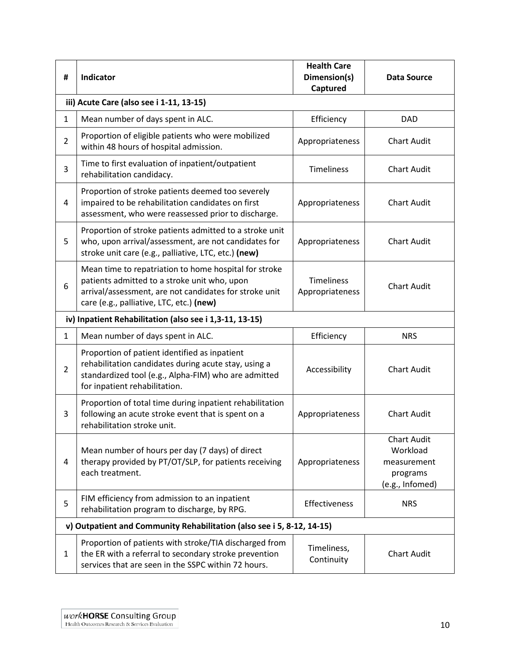| #              | Indicator                                                                                                                                                                                                   | <b>Health Care</b><br>Dimension(s)<br>Captured | <b>Data Source</b>                                                           |  |  |  |
|----------------|-------------------------------------------------------------------------------------------------------------------------------------------------------------------------------------------------------------|------------------------------------------------|------------------------------------------------------------------------------|--|--|--|
|                | iii) Acute Care (also see i 1-11, 13-15)                                                                                                                                                                    |                                                |                                                                              |  |  |  |
| 1              | Mean number of days spent in ALC.                                                                                                                                                                           | Efficiency                                     | <b>DAD</b>                                                                   |  |  |  |
| $\overline{2}$ | Proportion of eligible patients who were mobilized<br>within 48 hours of hospital admission.                                                                                                                | Appropriateness                                | <b>Chart Audit</b>                                                           |  |  |  |
| 3              | Time to first evaluation of inpatient/outpatient<br>rehabilitation candidacy.                                                                                                                               | <b>Timeliness</b>                              | <b>Chart Audit</b>                                                           |  |  |  |
| 4              | Proportion of stroke patients deemed too severely<br>impaired to be rehabilitation candidates on first<br>assessment, who were reassessed prior to discharge.                                               | Appropriateness                                | <b>Chart Audit</b>                                                           |  |  |  |
| 5              | Proportion of stroke patients admitted to a stroke unit<br>who, upon arrival/assessment, are not candidates for<br>stroke unit care (e.g., palliative, LTC, etc.) (new)                                     | Appropriateness                                | <b>Chart Audit</b>                                                           |  |  |  |
| 6              | Mean time to repatriation to home hospital for stroke<br>patients admitted to a stroke unit who, upon<br>arrival/assessment, are not candidates for stroke unit<br>care (e.g., palliative, LTC, etc.) (new) | <b>Timeliness</b><br>Appropriateness           | <b>Chart Audit</b>                                                           |  |  |  |
|                | iv) Inpatient Rehabilitation (also see i 1,3-11, 13-15)                                                                                                                                                     |                                                |                                                                              |  |  |  |
| $\mathbf{1}$   | Mean number of days spent in ALC.                                                                                                                                                                           | Efficiency                                     | <b>NRS</b>                                                                   |  |  |  |
| $\overline{2}$ | Proportion of patient identified as inpatient<br>rehabilitation candidates during acute stay, using a<br>standardized tool (e.g., Alpha-FIM) who are admitted<br>for inpatient rehabilitation.              | Accessibility                                  | <b>Chart Audit</b>                                                           |  |  |  |
| 3              | Proportion of total time during inpatient rehabilitation<br>following an acute stroke event that is spent on a<br>rehabilitation stroke unit.                                                               | Appropriateness                                | <b>Chart Audit</b>                                                           |  |  |  |
| 4              | Mean number of hours per day (7 days) of direct<br>therapy provided by PT/OT/SLP, for patients receiving<br>each treatment.                                                                                 | Appropriateness                                | <b>Chart Audit</b><br>Workload<br>measurement<br>programs<br>(e.g., Infomed) |  |  |  |
| 5              | FIM efficiency from admission to an inpatient<br>rehabilitation program to discharge, by RPG.                                                                                                               | Effectiveness                                  | <b>NRS</b>                                                                   |  |  |  |
|                | v) Outpatient and Community Rehabilitation (also see i 5, 8-12, 14-15)                                                                                                                                      |                                                |                                                                              |  |  |  |
| 1              | Proportion of patients with stroke/TIA discharged from<br>the ER with a referral to secondary stroke prevention<br>services that are seen in the SSPC within 72 hours.                                      | Timeliness,<br>Continuity                      | <b>Chart Audit</b>                                                           |  |  |  |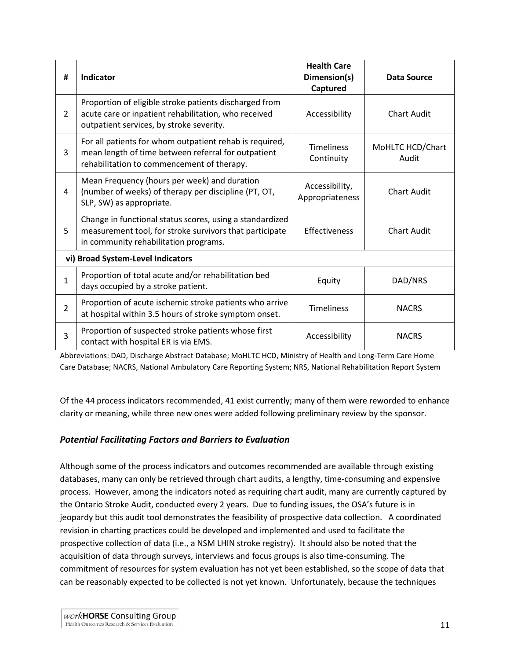| #              | Indicator                                                                                                                                                                     | <b>Health Care</b><br>Dimension(s)<br>Captured | <b>Data Source</b>        |
|----------------|-------------------------------------------------------------------------------------------------------------------------------------------------------------------------------|------------------------------------------------|---------------------------|
| $\overline{2}$ | Proportion of eligible stroke patients discharged from<br>acute care or inpatient rehabilitation, who received<br>outpatient services, by stroke severity.                    | Accessibility                                  | <b>Chart Audit</b>        |
| 3              | For all patients for whom outpatient rehab is required,<br>mean length of time between referral for outpatient<br>rehabilitation to commencement of therapy.                  | <b>Timeliness</b><br>Continuity                | MoHLTC HCD/Chart<br>Audit |
| 4              | Mean Frequency (hours per week) and duration<br>(number of weeks) of therapy per discipline (PT, OT,<br>SLP, SW) as appropriate.                                              | Accessibility,<br>Appropriateness              | <b>Chart Audit</b>        |
| 5              | Change in functional status scores, using a standardized<br>measurement tool, for stroke survivors that participate<br>Effectiveness<br>in community rehabilitation programs. |                                                | <b>Chart Audit</b>        |
|                | vi) Broad System-Level Indicators                                                                                                                                             |                                                |                           |
| 1              | Proportion of total acute and/or rehabilitation bed<br>days occupied by a stroke patient.                                                                                     | Equity                                         | DAD/NRS                   |
| $\overline{2}$ | Proportion of acute ischemic stroke patients who arrive<br>at hospital within 3.5 hours of stroke symptom onset.                                                              | <b>Timeliness</b>                              | <b>NACRS</b>              |
| 3              | Proportion of suspected stroke patients whose first<br>contact with hospital ER is via EMS.                                                                                   | Accessibility                                  | <b>NACRS</b>              |

Abbreviations: DAD, Discharge Abstract Database; MoHLTC HCD, Ministry of Health and Long-Term Care Home Care Database; NACRS, National Ambulatory Care Reporting System; NRS, National Rehabilitation Report System

<span id="page-17-0"></span>Of the 44 process indicators recommended, 41 exist currently; many of them were reworded to enhance clarity or meaning, while three new ones were added following preliminary review by the sponsor.

### *Potential Facilitating Factors and Barriers to Evaluation*

Although some of the process indicators and outcomes recommended are available through existing databases, many can only be retrieved through chart audits, a lengthy, time-consuming and expensive process. However, among the indicators noted as requiring chart audit, many are currently captured by the Ontario Stroke Audit, conducted every 2 years. Due to funding issues, the OSA's future is in jeopardy but this audit tool demonstrates the feasibility of prospective data collection. A coordinated revision in charting practices could be developed and implemented and used to facilitate the prospective collection of data (i.e., a NSM LHIN stroke registry). It should also be noted that the acquisition of data through surveys, interviews and focus groups is also time-consuming. The commitment of resources for system evaluation has not yet been established, so the scope of data that can be reasonably expected to be collected is not yet known. Unfortunately, because the techniques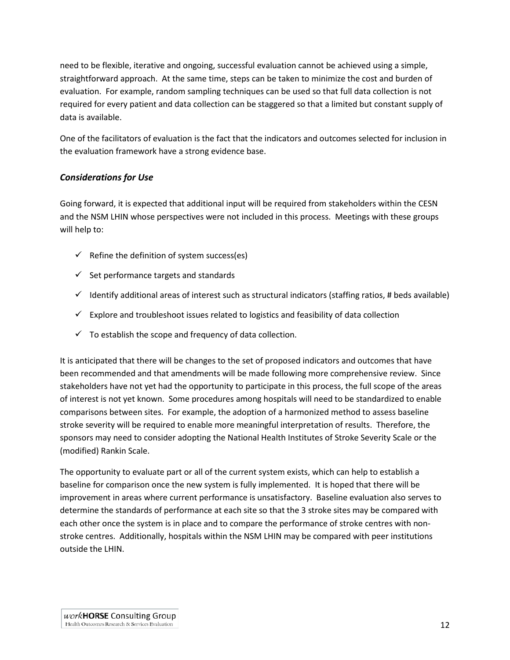need to be flexible, iterative and ongoing, successful evaluation cannot be achieved using a simple, straightforward approach. At the same time, steps can be taken to minimize the cost and burden of evaluation. For example, random sampling techniques can be used so that full data collection is not required for every patient and data collection can be staggered so that a limited but constant supply of data is available.

One of the facilitators of evaluation is the fact that the indicators and outcomes selected for inclusion in the evaluation framework have a strong evidence base.

### <span id="page-18-0"></span>*Considerations for Use*

Going forward, it is expected that additional input will be required from stakeholders within the CESN and the NSM LHIN whose perspectives were not included in this process. Meetings with these groups will help to:

- $\checkmark$  Refine the definition of system success(es)
- $\checkmark$  Set performance targets and standards
- $\checkmark$  Identify additional areas of interest such as structural indicators (staffing ratios, # beds available)
- $\checkmark$  Explore and troubleshoot issues related to logistics and feasibility of data collection
- $\checkmark$  To establish the scope and frequency of data collection.

It is anticipated that there will be changes to the set of proposed indicators and outcomes that have been recommended and that amendments will be made following more comprehensive review. Since stakeholders have not yet had the opportunity to participate in this process, the full scope of the areas of interest is not yet known. Some procedures among hospitals will need to be standardized to enable comparisons between sites. For example, the adoption of a harmonized method to assess baseline stroke severity will be required to enable more meaningful interpretation of results. Therefore, the sponsors may need to consider adopting the National Health Institutes of Stroke Severity Scale or the (modified) Rankin Scale.

The opportunity to evaluate part or all of the current system exists, which can help to establish a baseline for comparison once the new system is fully implemented. It is hoped that there will be improvement in areas where current performance is unsatisfactory. Baseline evaluation also serves to determine the standards of performance at each site so that the 3 stroke sites may be compared with each other once the system is in place and to compare the performance of stroke centres with nonstroke centres. Additionally, hospitals within the NSM LHIN may be compared with peer institutions outside the LHIN.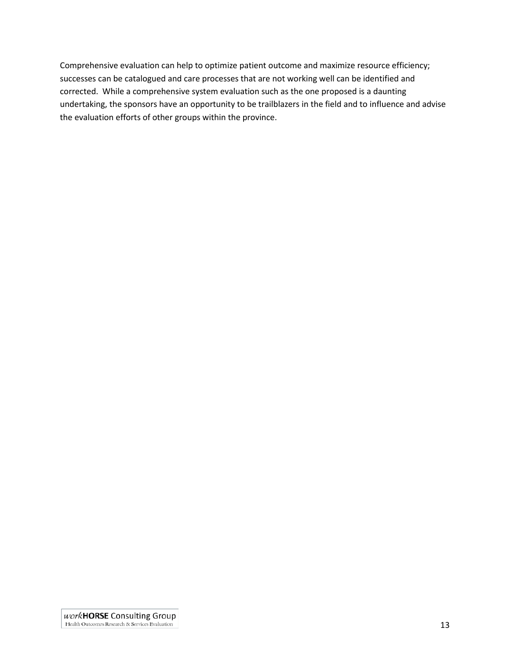<span id="page-19-0"></span>Comprehensive evaluation can help to optimize patient outcome and maximize resource efficiency; successes can be catalogued and care processes that are not working well can be identified and corrected. While a comprehensive system evaluation such as the one proposed is a daunting undertaking, the sponsors have an opportunity to be trailblazers in the field and to influence and advise the evaluation efforts of other groups within the province.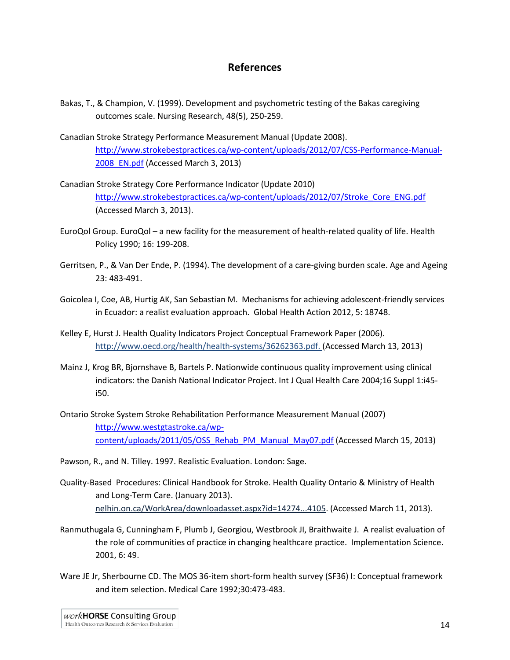## **References**

- Bakas, T., & Champion, V. (1999). Development and psychometric testing of the Bakas caregiving outcomes scale. Nursing Research, 48(5), 250-259.
- Canadian Stroke Strategy Performance Measurement Manual (Update 2008). [http://www.strokebestpractices.ca/wp-content/uploads/2012/07/CSS-Performance-Manual-](http://www.strokebestpractices.ca/wp-content/uploads/2012/07/CSS-Performance-Manual-2008_EN.pdf)[2008\\_EN.pdf](http://www.strokebestpractices.ca/wp-content/uploads/2012/07/CSS-Performance-Manual-2008_EN.pdf) (Accessed March 3, 2013)
- Canadian Stroke Strategy Core Performance Indicator (Update 2010) [http://www.strokebestpractices.ca/wp-content/uploads/2012/07/Stroke\\_Core\\_ENG.pdf](http://www.strokebestpractices.ca/wp-content/uploads/2012/07/Stroke_Core_ENG.pdf) (Accessed March 3, 2013).
- EuroQol Group. EuroQol a new facility for the measurement of health-related quality of life. Health Policy 1990; 16: 199-208.
- Gerritsen, P., & Van Der Ende, P. (1994). The development of a care-giving burden scale. Age and Ageing 23: 483-491.
- Goicolea I, Coe, AB, Hurtig AK, San Sebastian M. Mechanisms for achieving adolescent-friendly services in Ecuador: a realist evaluation approach. Global Health Action 2012, 5: 18748.
- Kelley E, Hurst J. Health Quality Indicators Project Conceptual Framework Paper (2006). http://www.oecd.org/health/health-systems/36262363.pdf. (Accessed March 13, 2013)
- Mainz J, Krog BR, Bjornshave B, Bartels P. Nationwide continuous quality improvement using clinical indicators: the Danish National Indicator Project. Int J Qual Health Care 2004;16 Suppl 1:i45 i50.
- Ontario Stroke System Stroke Rehabilitation Performance Measurement Manual (2007) [http://www.westgtastroke.ca/wp](http://www.westgtastroke.ca/wp-content/uploads/2011/05/OSS_Rehab_PM_Manual_May07.pdf)[content/uploads/2011/05/OSS\\_Rehab\\_PM\\_Manual\\_May07.pdf](http://www.westgtastroke.ca/wp-content/uploads/2011/05/OSS_Rehab_PM_Manual_May07.pdf) (Accessed March 15, 2013)
- Pawson, R., and N. Tilley. 1997. Realistic Evaluation. London: Sage.
- Quality-Based Procedures: Clinical Handbook for Stroke. Health Quality Ontario & Ministry of Health and Long-Term Care. (January 2013). nelhin.on.ca/WorkArea/downloadasset.aspx?id=14274...4105. (Accessed March 11, 2013).
- Ranmuthugala G, Cunningham F, Plumb J, Georgiou, Westbrook JI, Braithwaite J. A realist evaluation of the role of communities of practice in changing healthcare practice. Implementation Science. 2001, 6: 49.
- Ware JE Jr, Sherbourne CD. The MOS 36-item short-form health survey (SF36) I: Conceptual framework and item selection. Medical Care 1992;30:473-483.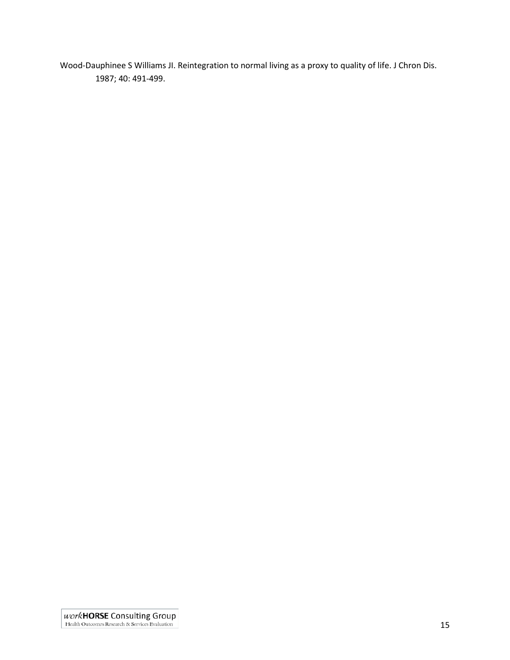<span id="page-21-0"></span>Wood-Dauphinee S Williams JI. Reintegration to normal living as a proxy to quality of life. J Chron Dis. 1987; 40: 491-499.

 $\label{eq:2} \begin{array}{c} \textit{work} \textit{H} \textit{ORSE} \textit{Considering} \textit{Group} \\ \textit{Health Outcomes Research & Services Evaluation} \end{array}$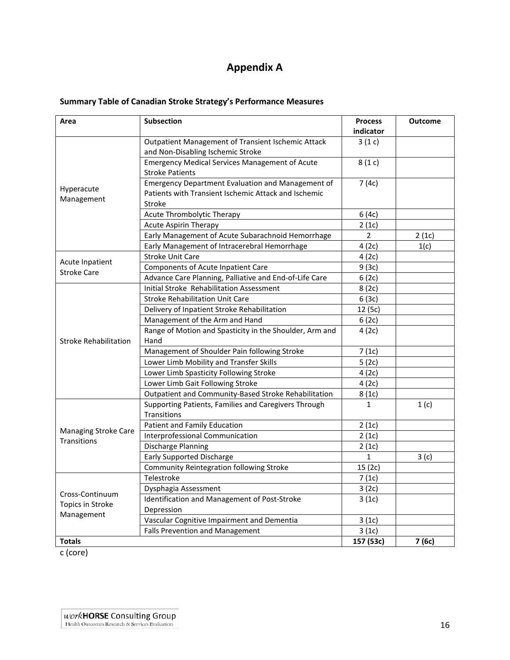# **Appendix A**

| <b>Summary Table of Canadian Stroke Strategy's Performance Measures</b> |
|-------------------------------------------------------------------------|
|-------------------------------------------------------------------------|

| Area                         | <b>Subsection</b>                                                                                                   | <b>Process</b><br>indicator | <b>Outcome</b> |
|------------------------------|---------------------------------------------------------------------------------------------------------------------|-----------------------------|----------------|
|                              | Outpatient Management of Transient Ischemic Attack<br>and Non-Disabling Ischemic Stroke                             | 3(1c)                       |                |
|                              | <b>Emergency Medical Services Management of Acute</b><br><b>Stroke Patients</b>                                     | 8(1c)                       |                |
| Hyperacute<br>Management     | Emergency Department Evaluation and Management of<br>Patients with Transient Ischemic Attack and Ischemic<br>Stroke | 7(4c)                       |                |
|                              | Acute Thrombolytic Therapy                                                                                          | 6(4c)                       |                |
|                              | <b>Acute Aspirin Therapy</b>                                                                                        | 2(1c)                       |                |
|                              | Early Management of Acute Subarachnoid Hemorrhage                                                                   | $\overline{2}$              | 2(1c)          |
|                              | Early Management of Intracerebral Hemorrhage                                                                        | 4(2c)                       | 1(c)           |
|                              | <b>Stroke Unit Care</b>                                                                                             | 4(2c)                       |                |
| Acute Inpatient              | Components of Acute Inpatient Care                                                                                  | 9(3c)                       |                |
| <b>Stroke Care</b>           | Advance Care Planning, Palliative and End-of-Life Care                                                              | 6(2c)                       |                |
|                              | Initial Stroke Rehabilitation Assessment                                                                            | 8(2c)                       |                |
|                              | <b>Stroke Rehabilitation Unit Care</b>                                                                              | 6(3c)                       |                |
|                              | Delivery of Inpatient Stroke Rehabilitation                                                                         | 12 (5c)                     |                |
|                              | Management of the Arm and Hand                                                                                      | 6(2c)                       |                |
| <b>Stroke Rehabilitation</b> | Range of Motion and Spasticity in the Shoulder, Arm and<br>Hand                                                     | 4(2c)                       |                |
|                              | Management of Shoulder Pain following Stroke                                                                        | 7(1c)                       |                |
|                              | Lower Limb Mobility and Transfer Skills                                                                             | 5(2c)                       |                |
|                              | Lower Limb Spasticity Following Stroke                                                                              | 4(2c)                       |                |
|                              | Lower Limb Gait Following Stroke                                                                                    | 4(2c)                       |                |
|                              | Outpatient and Community-Based Stroke Rehabilitation                                                                | 8(1c)                       |                |
|                              | Supporting Patients, Families and Caregivers Through<br>Transitions                                                 | $\mathbf{1}$                | 1(c)           |
|                              | Patient and Family Education                                                                                        | 2(1c)                       |                |
| <b>Managing Stroke Care</b>  | Interprofessional Communication                                                                                     | 2(1c)                       |                |
| <b>Transitions</b>           | Discharge Planning                                                                                                  | 2(1c)                       |                |
|                              | <b>Early Supported Discharge</b>                                                                                    | $\mathbf{1}$                | 3(c)           |
|                              | Community Reintegration following Stroke                                                                            | 15(2c)                      |                |
|                              | Telestroke                                                                                                          | 7(1c)                       |                |
| Cross-Continuum              | Dysphagia Assessment                                                                                                | 3(2c)                       |                |
| Topics in Stroke             | Identification and Management of Post-Stroke<br>Depression                                                          | 3(1c)                       |                |
| Management                   | Vascular Cognitive Impairment and Dementia                                                                          | 3(1c)                       |                |
|                              | Falls Prevention and Management                                                                                     | 3(1c)                       |                |
| <b>Totals</b>                |                                                                                                                     | 157 (53c)                   | 7(6c)          |

c (core)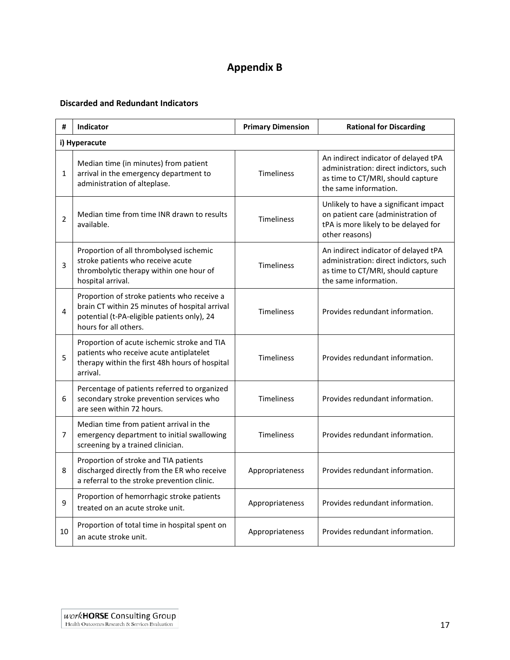# **Appendix B**

#### <span id="page-23-0"></span>**Discarded and Redundant Indicators**

| #              | Indicator                                                                                                                                                             | <b>Primary Dimension</b> | <b>Rational for Discarding</b>                                                                                                               |
|----------------|-----------------------------------------------------------------------------------------------------------------------------------------------------------------------|--------------------------|----------------------------------------------------------------------------------------------------------------------------------------------|
|                | i) Hyperacute                                                                                                                                                         |                          |                                                                                                                                              |
| $\mathbf{1}$   | Median time (in minutes) from patient<br>arrival in the emergency department to<br>administration of alteplase.                                                       | <b>Timeliness</b>        | An indirect indicator of delayed tPA<br>administration: direct indictors, such<br>as time to CT/MRI, should capture<br>the same information. |
| $\overline{2}$ | Median time from time INR drawn to results<br>available.                                                                                                              | <b>Timeliness</b>        | Unlikely to have a significant impact<br>on patient care (administration of<br>tPA is more likely to be delayed for<br>other reasons)        |
| 3              | Proportion of all thrombolysed ischemic<br>stroke patients who receive acute<br>thrombolytic therapy within one hour of<br>hospital arrival.                          | <b>Timeliness</b>        | An indirect indicator of delayed tPA<br>administration: direct indictors, such<br>as time to CT/MRI, should capture<br>the same information. |
| 4              | Proportion of stroke patients who receive a<br>brain CT within 25 minutes of hospital arrival<br>potential (t-PA-eligible patients only), 24<br>hours for all others. | <b>Timeliness</b>        | Provides redundant information.                                                                                                              |
| 5              | Proportion of acute ischemic stroke and TIA<br>patients who receive acute antiplatelet<br>therapy within the first 48h hours of hospital<br>arrival.                  | <b>Timeliness</b>        | Provides redundant information.                                                                                                              |
| 6              | Percentage of patients referred to organized<br>secondary stroke prevention services who<br>are seen within 72 hours.                                                 | <b>Timeliness</b>        | Provides redundant information.                                                                                                              |
| $\overline{7}$ | Median time from patient arrival in the<br>emergency department to initial swallowing<br>screening by a trained clinician.                                            | <b>Timeliness</b>        | Provides redundant information.                                                                                                              |
| 8              | Proportion of stroke and TIA patients<br>discharged directly from the ER who receive<br>a referral to the stroke prevention clinic.                                   | Appropriateness          | Provides redundant information.                                                                                                              |
| 9              | Proportion of hemorrhagic stroke patients<br>treated on an acute stroke unit.                                                                                         | Appropriateness          | Provides redundant information.                                                                                                              |
| 10             | Proportion of total time in hospital spent on<br>an acute stroke unit.                                                                                                | Appropriateness          | Provides redundant information.                                                                                                              |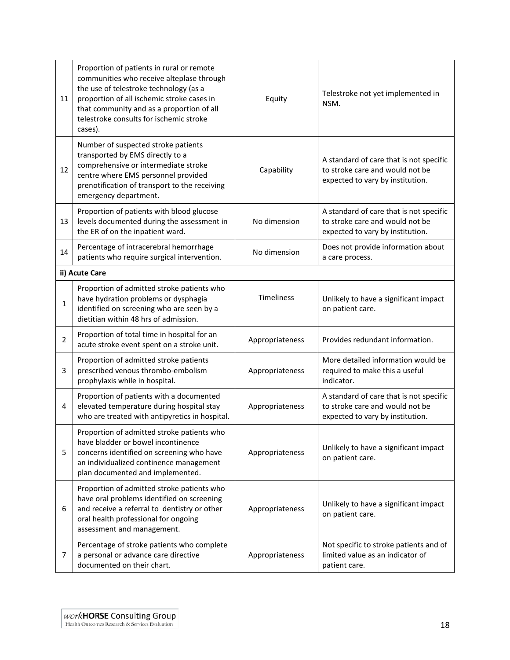| 11             | Proportion of patients in rural or remote<br>communities who receive alteplase through<br>the use of telestroke technology (as a<br>proportion of all ischemic stroke cases in<br>that community and as a proportion of all<br>telestroke consults for ischemic stroke<br>cases). | Equity          | Telestroke not yet implemented in<br>NSM.                                                                      |
|----------------|-----------------------------------------------------------------------------------------------------------------------------------------------------------------------------------------------------------------------------------------------------------------------------------|-----------------|----------------------------------------------------------------------------------------------------------------|
| 12             | Number of suspected stroke patients<br>transported by EMS directly to a<br>comprehensive or intermediate stroke<br>centre where EMS personnel provided<br>prenotification of transport to the receiving<br>emergency department.                                                  | Capability      | A standard of care that is not specific<br>to stroke care and would not be<br>expected to vary by institution. |
| 13             | Proportion of patients with blood glucose<br>levels documented during the assessment in<br>the ER of on the inpatient ward.                                                                                                                                                       | No dimension    | A standard of care that is not specific<br>to stroke care and would not be<br>expected to vary by institution. |
| 14             | Percentage of intracerebral hemorrhage<br>patients who require surgical intervention.                                                                                                                                                                                             | No dimension    | Does not provide information about<br>a care process.                                                          |
|                | ii) Acute Care                                                                                                                                                                                                                                                                    |                 |                                                                                                                |
| 1              | Proportion of admitted stroke patients who<br>have hydration problems or dysphagia<br>identified on screening who are seen by a<br>dietitian within 48 hrs of admission.                                                                                                          | Timeliness      | Unlikely to have a significant impact<br>on patient care.                                                      |
| $\overline{2}$ | Proportion of total time in hospital for an<br>acute stroke event spent on a stroke unit.                                                                                                                                                                                         | Appropriateness | Provides redundant information.                                                                                |
| 3              | Proportion of admitted stroke patients<br>prescribed venous thrombo-embolism<br>prophylaxis while in hospital.                                                                                                                                                                    | Appropriateness | More detailed information would be<br>required to make this a useful<br>indicator.                             |
| 4              | Proportion of patients with a documented<br>elevated temperature during hospital stay<br>who are treated with antipyretics in hospital.                                                                                                                                           | Appropriateness | A standard of care that is not specific<br>to stroke care and would not be<br>expected to vary by institution. |
| 5              | Proportion of admitted stroke patients who<br>have bladder or bowel incontinence<br>concerns identified on screening who have<br>an individualized continence management<br>plan documented and implemented.                                                                      | Appropriateness | Unlikely to have a significant impact<br>on patient care.                                                      |
| 6              | Proportion of admitted stroke patients who<br>have oral problems identified on screening<br>and receive a referral to dentistry or other<br>oral health professional for ongoing<br>assessment and management.                                                                    | Appropriateness | Unlikely to have a significant impact<br>on patient care.                                                      |
| 7              | Percentage of stroke patients who complete<br>a personal or advance care directive<br>documented on their chart.                                                                                                                                                                  | Appropriateness | Not specific to stroke patients and of<br>limited value as an indicator of<br>patient care.                    |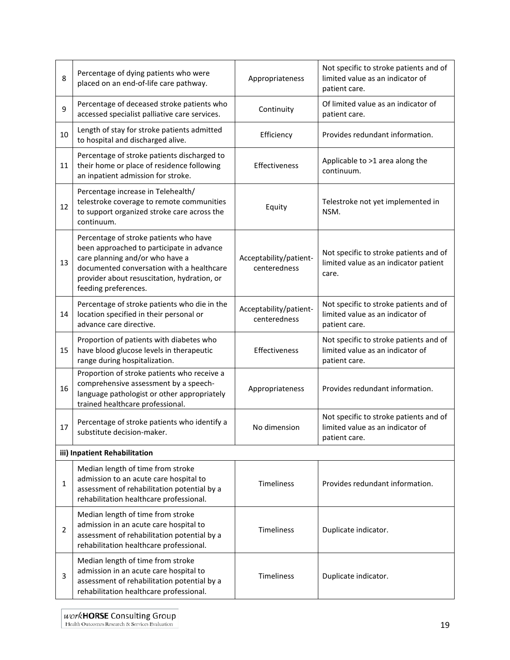| 8              | Percentage of dying patients who were<br>placed on an end-of-life care pathway.                                                                                                                                                            | Appropriateness                        | Not specific to stroke patients and of<br>limited value as an indicator of<br>patient care. |
|----------------|--------------------------------------------------------------------------------------------------------------------------------------------------------------------------------------------------------------------------------------------|----------------------------------------|---------------------------------------------------------------------------------------------|
| 9              | Percentage of deceased stroke patients who<br>accessed specialist palliative care services.                                                                                                                                                | Continuity                             | Of limited value as an indicator of<br>patient care.                                        |
| 10             | Length of stay for stroke patients admitted<br>to hospital and discharged alive.                                                                                                                                                           | Efficiency                             | Provides redundant information.                                                             |
| 11             | Percentage of stroke patients discharged to<br>their home or place of residence following<br>an inpatient admission for stroke.                                                                                                            | Effectiveness                          | Applicable to >1 area along the<br>continuum.                                               |
| 12             | Percentage increase in Telehealth/<br>telestroke coverage to remote communities<br>to support organized stroke care across the<br>continuum.                                                                                               | Equity                                 | Telestroke not yet implemented in<br>NSM.                                                   |
| 13             | Percentage of stroke patients who have<br>been approached to participate in advance<br>care planning and/or who have a<br>documented conversation with a healthcare<br>provider about resuscitation, hydration, or<br>feeding preferences. | Acceptability/patient-<br>centeredness | Not specific to stroke patients and of<br>limited value as an indicator patient<br>care.    |
| 14             | Percentage of stroke patients who die in the<br>location specified in their personal or<br>advance care directive.                                                                                                                         | Acceptability/patient-<br>centeredness | Not specific to stroke patients and of<br>limited value as an indicator of<br>patient care. |
| 15             | Proportion of patients with diabetes who<br>have blood glucose levels in therapeutic<br>range during hospitalization.                                                                                                                      | Effectiveness                          | Not specific to stroke patients and of<br>limited value as an indicator of<br>patient care. |
| 16             | Proportion of stroke patients who receive a<br>comprehensive assessment by a speech-<br>language pathologist or other appropriately<br>trained healthcare professional.                                                                    | Appropriateness                        | Provides redundant information.                                                             |
| 17             | Percentage of stroke patients who identify a<br>substitute decision-maker.                                                                                                                                                                 | No dimension                           | Not specific to stroke patients and of<br>limited value as an indicator of<br>patient care. |
|                | iii) Inpatient Rehabilitation                                                                                                                                                                                                              |                                        |                                                                                             |
| $\mathbf{1}$   | Median length of time from stroke<br>admission to an acute care hospital to<br>assessment of rehabilitation potential by a<br>rehabilitation healthcare professional.                                                                      | Timeliness                             | Provides redundant information.                                                             |
| $\overline{2}$ | Median length of time from stroke<br>admission in an acute care hospital to<br>assessment of rehabilitation potential by a<br>rehabilitation healthcare professional.                                                                      | <b>Timeliness</b>                      | Duplicate indicator.                                                                        |
| 3              | Median length of time from stroke<br>admission in an acute care hospital to<br>assessment of rehabilitation potential by a<br>rehabilitation healthcare professional.                                                                      | Timeliness                             | Duplicate indicator.                                                                        |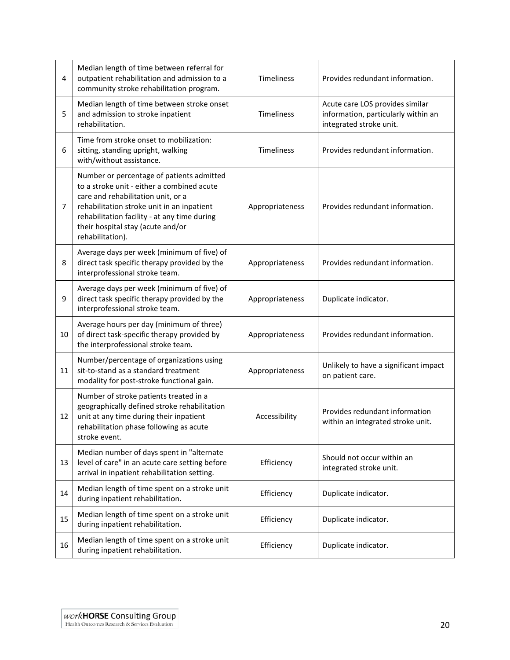| 4  | Median length of time between referral for<br>outpatient rehabilitation and admission to a<br>community stroke rehabilitation program.                                                                                                                                               | Timeliness        | Provides redundant information.                                                                   |
|----|--------------------------------------------------------------------------------------------------------------------------------------------------------------------------------------------------------------------------------------------------------------------------------------|-------------------|---------------------------------------------------------------------------------------------------|
| 5  | Median length of time between stroke onset<br>and admission to stroke inpatient<br>rehabilitation.                                                                                                                                                                                   | <b>Timeliness</b> | Acute care LOS provides similar<br>information, particularly within an<br>integrated stroke unit. |
| 6  | Time from stroke onset to mobilization:<br>sitting, standing upright, walking<br>with/without assistance.                                                                                                                                                                            | <b>Timeliness</b> | Provides redundant information.                                                                   |
| 7  | Number or percentage of patients admitted<br>to a stroke unit - either a combined acute<br>care and rehabilitation unit, or a<br>rehabilitation stroke unit in an inpatient<br>rehabilitation facility - at any time during<br>their hospital stay (acute and/or<br>rehabilitation). | Appropriateness   | Provides redundant information.                                                                   |
| 8  | Average days per week (minimum of five) of<br>direct task specific therapy provided by the<br>interprofessional stroke team.                                                                                                                                                         | Appropriateness   | Provides redundant information.                                                                   |
| 9  | Average days per week (minimum of five) of<br>direct task specific therapy provided by the<br>interprofessional stroke team.                                                                                                                                                         | Appropriateness   | Duplicate indicator.                                                                              |
| 10 | Average hours per day (minimum of three)<br>of direct task-specific therapy provided by<br>the interprofessional stroke team.                                                                                                                                                        | Appropriateness   | Provides redundant information.                                                                   |
| 11 | Number/percentage of organizations using<br>sit-to-stand as a standard treatment<br>modality for post-stroke functional gain.                                                                                                                                                        | Appropriateness   | Unlikely to have a significant impact<br>on patient care.                                         |
| 12 | Number of stroke patients treated in a<br>geographically defined stroke rehabilitation<br>unit at any time during their inpatient<br>rehabilitation phase following as acute<br>stroke event.                                                                                        | Accessibility     | Provides redundant information<br>within an integrated stroke unit.                               |
| 13 | Median number of days spent in "alternate<br>level of care" in an acute care setting before<br>arrival in inpatient rehabilitation setting.                                                                                                                                          | Efficiency        | Should not occur within an<br>integrated stroke unit.                                             |
| 14 | Median length of time spent on a stroke unit<br>during inpatient rehabilitation.                                                                                                                                                                                                     | Efficiency        | Duplicate indicator.                                                                              |
| 15 | Median length of time spent on a stroke unit<br>during inpatient rehabilitation.                                                                                                                                                                                                     | Efficiency        | Duplicate indicator.                                                                              |
| 16 | Median length of time spent on a stroke unit<br>during inpatient rehabilitation.                                                                                                                                                                                                     | Efficiency        | Duplicate indicator.                                                                              |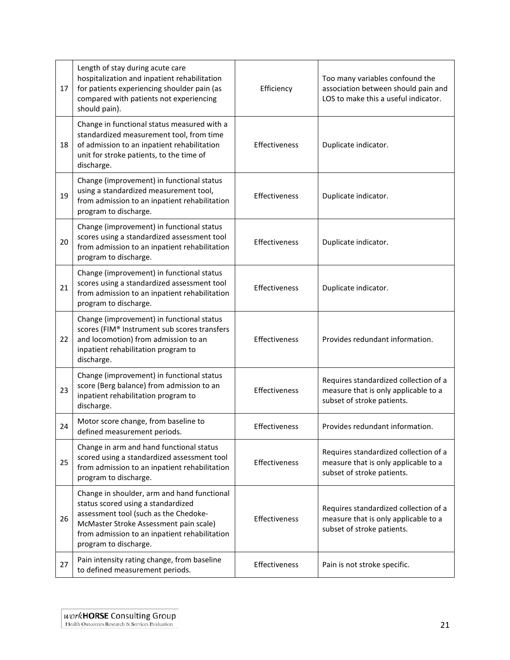| 17 | Length of stay during acute care<br>hospitalization and inpatient rehabilitation<br>for patients experiencing shoulder pain (as<br>compared with patients not experiencing<br>should pain).                                                    | Efficiency    | Too many variables confound the<br>association between should pain and<br>LOS to make this a useful indicator. |
|----|------------------------------------------------------------------------------------------------------------------------------------------------------------------------------------------------------------------------------------------------|---------------|----------------------------------------------------------------------------------------------------------------|
| 18 | Change in functional status measured with a<br>standardized measurement tool, from time<br>of admission to an inpatient rehabilitation<br>unit for stroke patients, to the time of<br>discharge.                                               | Effectiveness | Duplicate indicator.                                                                                           |
| 19 | Change (improvement) in functional status<br>using a standardized measurement tool,<br>from admission to an inpatient rehabilitation<br>program to discharge.                                                                                  | Effectiveness | Duplicate indicator.                                                                                           |
| 20 | Change (improvement) in functional status<br>scores using a standardized assessment tool<br>from admission to an inpatient rehabilitation<br>program to discharge.                                                                             | Effectiveness | Duplicate indicator.                                                                                           |
| 21 | Change (improvement) in functional status<br>scores using a standardized assessment tool<br>from admission to an inpatient rehabilitation<br>program to discharge.                                                                             | Effectiveness | Duplicate indicator.                                                                                           |
| 22 | Change (improvement) in functional status<br>scores (FIM® Instrument sub scores transfers<br>and locomotion) from admission to an<br>inpatient rehabilitation program to<br>discharge.                                                         | Effectiveness | Provides redundant information.                                                                                |
| 23 | Change (improvement) in functional status<br>score (Berg balance) from admission to an<br>inpatient rehabilitation program to<br>discharge.                                                                                                    | Effectiveness | Requires standardized collection of a<br>measure that is only applicable to a<br>subset of stroke patients.    |
| 24 | Motor score change, from baseline to<br>defined measurement periods.                                                                                                                                                                           | Effectiveness | Provides redundant information.                                                                                |
| 25 | Change in arm and hand functional status<br>scored using a standardized assessment tool<br>from admission to an inpatient rehabilitation<br>program to discharge.                                                                              | Effectiveness | Requires standardized collection of a<br>measure that is only applicable to a<br>subset of stroke patients.    |
| 26 | Change in shoulder, arm and hand functional<br>status scored using a standardized<br>assessment tool (such as the Chedoke-<br>McMaster Stroke Assessment pain scale)<br>from admission to an inpatient rehabilitation<br>program to discharge. | Effectiveness | Requires standardized collection of a<br>measure that is only applicable to a<br>subset of stroke patients.    |
| 27 | Pain intensity rating change, from baseline<br>to defined measurement periods.                                                                                                                                                                 | Effectiveness | Pain is not stroke specific.                                                                                   |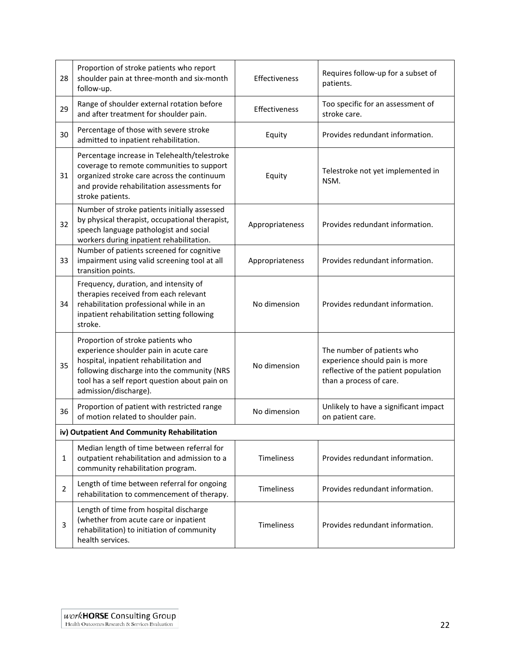| 28                                          | Proportion of stroke patients who report<br>shoulder pain at three-month and six-month<br>follow-up.                                                                                                                                           | Effectiveness   | Requires follow-up for a subset of<br>patients.                                                                                 |  |
|---------------------------------------------|------------------------------------------------------------------------------------------------------------------------------------------------------------------------------------------------------------------------------------------------|-----------------|---------------------------------------------------------------------------------------------------------------------------------|--|
| 29                                          | Range of shoulder external rotation before<br>and after treatment for shoulder pain.                                                                                                                                                           | Effectiveness   | Too specific for an assessment of<br>stroke care.                                                                               |  |
| 30                                          | Percentage of those with severe stroke<br>admitted to inpatient rehabilitation.                                                                                                                                                                | Equity          | Provides redundant information.                                                                                                 |  |
| 31                                          | Percentage increase in Telehealth/telestroke<br>coverage to remote communities to support<br>organized stroke care across the continuum<br>and provide rehabilitation assessments for<br>stroke patients.                                      | Equity          | Telestroke not yet implemented in<br>NSM.                                                                                       |  |
| 32                                          | Number of stroke patients initially assessed<br>by physical therapist, occupational therapist,<br>speech language pathologist and social<br>workers during inpatient rehabilitation.                                                           | Appropriateness | Provides redundant information.                                                                                                 |  |
| 33                                          | Number of patients screened for cognitive<br>impairment using valid screening tool at all<br>transition points.                                                                                                                                | Appropriateness | Provides redundant information.                                                                                                 |  |
| 34                                          | Frequency, duration, and intensity of<br>therapies received from each relevant<br>rehabilitation professional while in an<br>inpatient rehabilitation setting following<br>stroke.                                                             | No dimension    | Provides redundant information.                                                                                                 |  |
| 35                                          | Proportion of stroke patients who<br>experience shoulder pain in acute care<br>hospital, inpatient rehabilitation and<br>following discharge into the community (NRS<br>tool has a self report question about pain on<br>admission/discharge). | No dimension    | The number of patients who<br>experience should pain is more<br>reflective of the patient population<br>than a process of care. |  |
| 36                                          | Proportion of patient with restricted range<br>of motion related to shoulder pain.                                                                                                                                                             | No dimension    | Unlikely to have a significant impact<br>on patient care.                                                                       |  |
| iv) Outpatient And Community Rehabilitation |                                                                                                                                                                                                                                                |                 |                                                                                                                                 |  |
| $\mathbf{1}$                                | Median length of time between referral for<br>outpatient rehabilitation and admission to a<br>community rehabilitation program.                                                                                                                | Timeliness      | Provides redundant information.                                                                                                 |  |
| $\overline{2}$                              | Length of time between referral for ongoing<br>rehabilitation to commencement of therapy.                                                                                                                                                      | Timeliness      | Provides redundant information.                                                                                                 |  |
| 3                                           | Length of time from hospital discharge<br>(whether from acute care or inpatient<br>rehabilitation) to initiation of community<br>health services.                                                                                              | Timeliness      | Provides redundant information.                                                                                                 |  |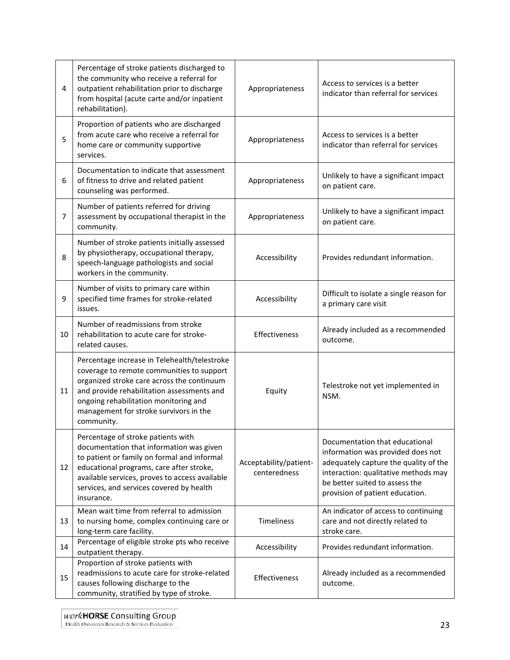| 4  | Percentage of stroke patients discharged to<br>the community who receive a referral for<br>outpatient rehabilitation prior to discharge<br>from hospital (acute carte and/or inpatient<br>rehabilitation).                                                                             | Appropriateness                        | Access to services is a better<br>indicator than referral for services                                                                                                                                                    |
|----|----------------------------------------------------------------------------------------------------------------------------------------------------------------------------------------------------------------------------------------------------------------------------------------|----------------------------------------|---------------------------------------------------------------------------------------------------------------------------------------------------------------------------------------------------------------------------|
| 5  | Proportion of patients who are discharged<br>from acute care who receive a referral for<br>home care or community supportive<br>services.                                                                                                                                              | Appropriateness                        | Access to services is a better<br>indicator than referral for services                                                                                                                                                    |
| 6  | Documentation to indicate that assessment<br>of fitness to drive and related patient<br>counseling was performed.                                                                                                                                                                      | Appropriateness                        | Unlikely to have a significant impact<br>on patient care.                                                                                                                                                                 |
| 7  | Number of patients referred for driving<br>assessment by occupational therapist in the<br>community.                                                                                                                                                                                   | Appropriateness                        | Unlikely to have a significant impact<br>on patient care.                                                                                                                                                                 |
| 8  | Number of stroke patients initially assessed<br>by physiotherapy, occupational therapy,<br>speech-language pathologists and social<br>workers in the community.                                                                                                                        | Accessibility                          | Provides redundant information.                                                                                                                                                                                           |
| 9  | Number of visits to primary care within<br>specified time frames for stroke-related<br>issues.                                                                                                                                                                                         | Accessibility                          | Difficult to isolate a single reason for<br>a primary care visit                                                                                                                                                          |
| 10 | Number of readmissions from stroke<br>rehabilitation to acute care for stroke-<br>related causes.                                                                                                                                                                                      | <b>Effectiveness</b>                   | Already included as a recommended<br>outcome.                                                                                                                                                                             |
| 11 | Percentage increase in Telehealth/telestroke<br>coverage to remote communities to support<br>organized stroke care across the continuum<br>and provide rehabilitation assessments and<br>ongoing rehabilitation monitoring and<br>management for stroke survivors in the<br>community. | Equity                                 | Telestroke not yet implemented in<br>NSM.                                                                                                                                                                                 |
| 12 | Percentage of stroke patients with<br>documentation that information was given<br>to patient or family on formal and informal<br>educational programs, care after stroke,<br>available services, proves to access available<br>services, and services covered by health<br>insurance.  | Acceptability/patient-<br>centeredness | Documentation that educational<br>information was provided does not<br>adequately capture the quality of the<br>interaction: qualitative methods may<br>be better suited to assess the<br>provision of patient education. |
| 13 | Mean wait time from referral to admission<br>to nursing home, complex continuing care or<br>long-term care facility.                                                                                                                                                                   | Timeliness                             | An indicator of access to continuing<br>care and not directly related to<br>stroke care.                                                                                                                                  |
| 14 | Percentage of eligible stroke pts who receive<br>outpatient therapy.                                                                                                                                                                                                                   | Accessibility                          | Provides redundant information.                                                                                                                                                                                           |
| 15 | Proportion of stroke patients with<br>readmissions to acute care for stroke-related<br>causes following discharge to the<br>community, stratified by type of stroke.                                                                                                                   | Effectiveness                          | Already included as a recommended<br>outcome.                                                                                                                                                                             |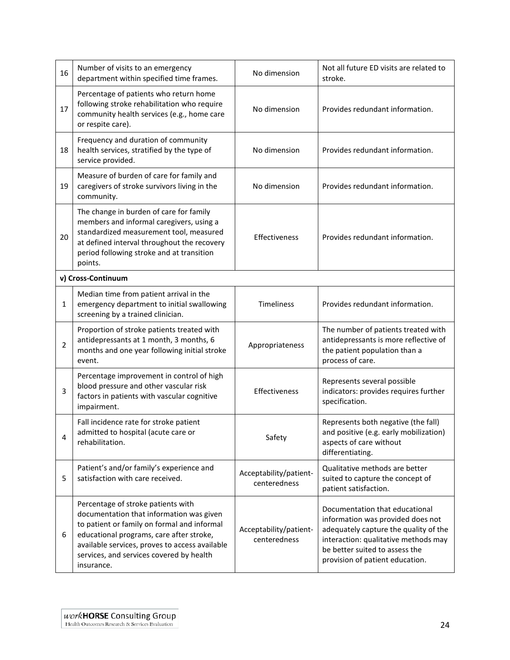| 16             | Number of visits to an emergency<br>department within specified time frames.                                                                                                                                                                                                          | No dimension                           | Not all future ED visits are related to<br>stroke.                                                                                                                                                                        |
|----------------|---------------------------------------------------------------------------------------------------------------------------------------------------------------------------------------------------------------------------------------------------------------------------------------|----------------------------------------|---------------------------------------------------------------------------------------------------------------------------------------------------------------------------------------------------------------------------|
| 17             | Percentage of patients who return home<br>following stroke rehabilitation who require<br>community health services (e.g., home care<br>or respite care).                                                                                                                              | No dimension                           | Provides redundant information.                                                                                                                                                                                           |
| 18             | Frequency and duration of community<br>health services, stratified by the type of<br>service provided.                                                                                                                                                                                | No dimension                           | Provides redundant information.                                                                                                                                                                                           |
| 19             | Measure of burden of care for family and<br>caregivers of stroke survivors living in the<br>community.                                                                                                                                                                                | No dimension                           | Provides redundant information.                                                                                                                                                                                           |
| 20             | The change in burden of care for family<br>members and informal caregivers, using a<br>standardized measurement tool, measured<br>at defined interval throughout the recovery<br>period following stroke and at transition<br>points.                                                 | Effectiveness                          | Provides redundant information.                                                                                                                                                                                           |
|                | v) Cross-Continuum                                                                                                                                                                                                                                                                    |                                        |                                                                                                                                                                                                                           |
| 1              | Median time from patient arrival in the<br>emergency department to initial swallowing<br>screening by a trained clinician.                                                                                                                                                            | Timeliness                             | Provides redundant information.                                                                                                                                                                                           |
| $\overline{2}$ | Proportion of stroke patients treated with<br>antidepressants at 1 month, 3 months, 6<br>months and one year following initial stroke<br>event.                                                                                                                                       | Appropriateness                        | The number of patients treated with<br>antidepressants is more reflective of<br>the patient population than a<br>process of care.                                                                                         |
| 3              | Percentage improvement in control of high<br>blood pressure and other vascular risk<br>factors in patients with vascular cognitive<br>impairment.                                                                                                                                     | Effectiveness                          | Represents several possible<br>indicators: provides requires further<br>specification.                                                                                                                                    |
| 4              | Fall incidence rate for stroke patient<br>admitted to hospital (acute care or<br>rehabilitation.                                                                                                                                                                                      | Safety                                 | Represents both negative (the fall)<br>and positive (e.g. early mobilization)<br>aspects of care without<br>differentiating.                                                                                              |
| 5              | Patient's and/or family's experience and<br>satisfaction with care received.                                                                                                                                                                                                          | Acceptability/patient-<br>centeredness | Qualitative methods are better<br>suited to capture the concept of<br>patient satisfaction.                                                                                                                               |
| 6              | Percentage of stroke patients with<br>documentation that information was given<br>to patient or family on formal and informal<br>educational programs, care after stroke,<br>available services, proves to access available<br>services, and services covered by health<br>insurance. | Acceptability/patient-<br>centeredness | Documentation that educational<br>information was provided does not<br>adequately capture the quality of the<br>interaction: qualitative methods may<br>be better suited to assess the<br>provision of patient education. |